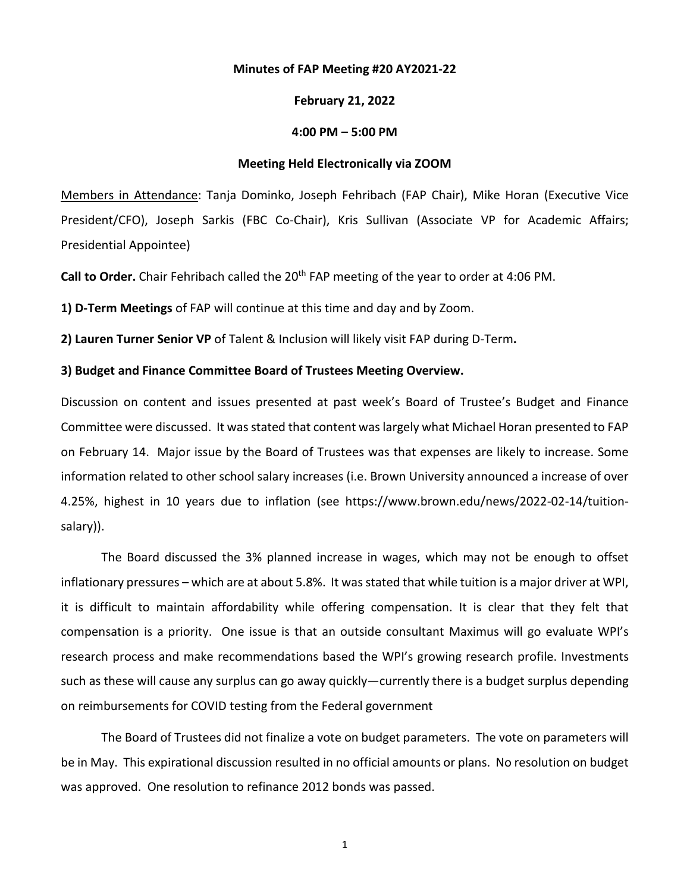#### **Minutes of FAP Meeting #20 AY2021-22**

### **February 21, 2022**

# **4:00 PM – 5:00 PM**

### **Meeting Held Electronically via ZOOM**

Members in Attendance: Tanja Dominko, Joseph Fehribach (FAP Chair), Mike Horan (Executive Vice President/CFO), Joseph Sarkis (FBC Co-Chair), Kris Sullivan (Associate VP for Academic Affairs; Presidential Appointee)

Call to Order. Chair Fehribach called the 20<sup>th</sup> FAP meeting of the year to order at 4:06 PM.

**1) D-Term Meetings** of FAP will continue at this time and day and by Zoom.

**2) Lauren Turner Senior VP** of Talent & Inclusion will likely visit FAP during D-Term**.**

### **3) Budget and Finance Committee Board of Trustees Meeting Overview.**

Discussion on content and issues presented at past week's Board of Trustee's Budget and Finance Committee were discussed. It was stated that content waslargely what Michael Horan presented to FAP on February 14. Major issue by the Board of Trustees was that expenses are likely to increase. Some information related to other school salary increases (i.e. Brown University announced a increase of over 4.25%, highest in 10 years due to inflation (see https://www.brown.edu/news/2022-02-14/tuitionsalary)).

The Board discussed the 3% planned increase in wages, which may not be enough to offset inflationary pressures – which are at about 5.8%. It was stated that while tuition is a major driver at WPI, it is difficult to maintain affordability while offering compensation. It is clear that they felt that compensation is a priority. One issue is that an outside consultant Maximus will go evaluate WPI's research process and make recommendations based the WPI's growing research profile. Investments such as these will cause any surplus can go away quickly—currently there is a budget surplus depending on reimbursements for COVID testing from the Federal government

The Board of Trustees did not finalize a vote on budget parameters. The vote on parameters will be in May. This expirational discussion resulted in no official amounts or plans. No resolution on budget was approved. One resolution to refinance 2012 bonds was passed.

1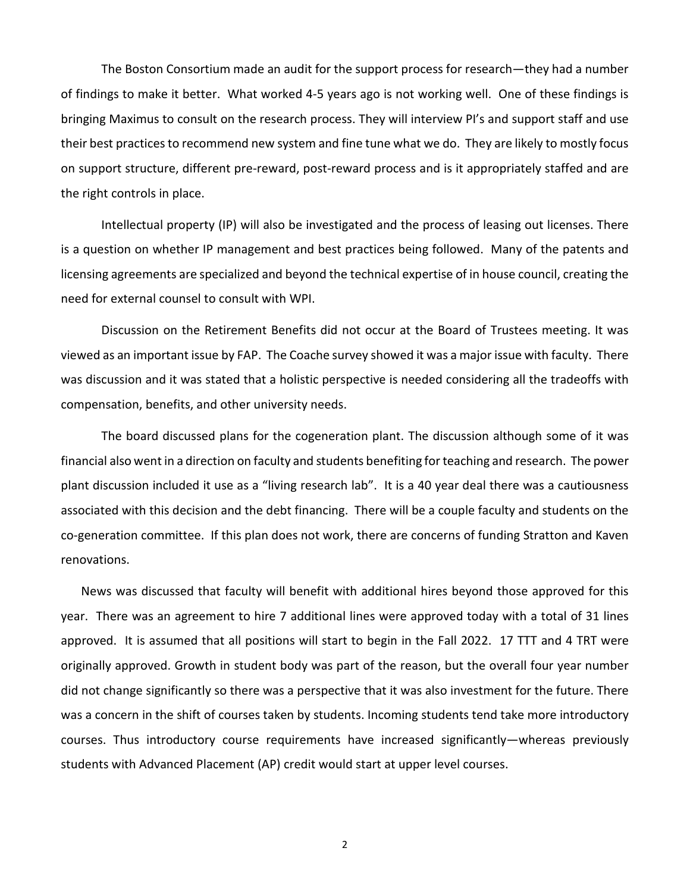The Boston Consortium made an audit for the support process for research—they had a number of findings to make it better. What worked 4-5 years ago is not working well. One of these findings is bringing Maximus to consult on the research process. They will interview PI's and support staff and use their best practices to recommend new system and fine tune what we do. They are likely to mostly focus on support structure, different pre-reward, post-reward process and is it appropriately staffed and are the right controls in place.

Intellectual property (IP) will also be investigated and the process of leasing out licenses. There is a question on whether IP management and best practices being followed. Many of the patents and licensing agreements are specialized and beyond the technical expertise of in house council, creating the need for external counsel to consult with WPI.

Discussion on the Retirement Benefits did not occur at the Board of Trustees meeting. It was viewed as an important issue by FAP. The Coache survey showed it was a major issue with faculty. There was discussion and it was stated that a holistic perspective is needed considering all the tradeoffs with compensation, benefits, and other university needs.

The board discussed plans for the cogeneration plant. The discussion although some of it was financial also went in a direction on faculty and students benefiting for teaching and research. The power plant discussion included it use as a "living research lab". It is a 40 year deal there was a cautiousness associated with this decision and the debt financing. There will be a couple faculty and students on the co-generation committee. If this plan does not work, there are concerns of funding Stratton and Kaven renovations.

News was discussed that faculty will benefit with additional hires beyond those approved for this year. There was an agreement to hire 7 additional lines were approved today with a total of 31 lines approved. It is assumed that all positions will start to begin in the Fall 2022. 17 TTT and 4 TRT were originally approved. Growth in student body was part of the reason, but the overall four year number did not change significantly so there was a perspective that it was also investment for the future. There was a concern in the shift of courses taken by students. Incoming students tend take more introductory courses. Thus introductory course requirements have increased significantly—whereas previously students with Advanced Placement (AP) credit would start at upper level courses.

2